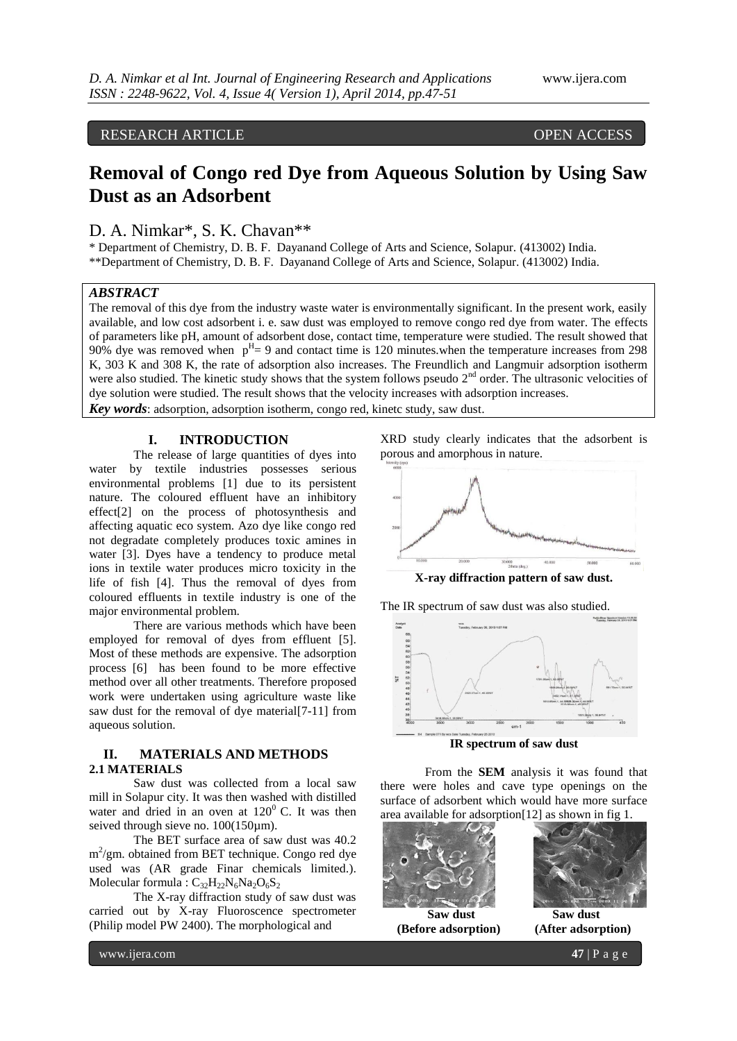## RESEARCH ARTICLE OPEN ACCESS

# **Removal of Congo red Dye from Aqueous Solution by Using Saw Dust as an Adsorbent**

## D. A. Nimkar\*, S. K. Chavan\*\*

\* Department of Chemistry, D. B. F. Dayanand College of Arts and Science, Solapur. (413002) India. \*\*Department of Chemistry, D. B. F. Dayanand College of Arts and Science, Solapur. (413002) India.

## *ABSTRACT*

The removal of this dye from the industry waste water is environmentally significant. In the present work, easily available, and low cost adsorbent i. e. saw dust was employed to remove congo red dye from water. The effects of parameters like pH, amount of adsorbent dose, contact time, temperature were studied. The result showed that 90% dye was removed when  $p^H = 9$  and contact time is 120 minutes when the temperature increases from 298 K, 303 K and 308 K, the rate of adsorption also increases. The Freundlich and Langmuir adsorption isotherm were also studied. The kinetic study shows that the system follows pseudo 2<sup>nd</sup> order. The ultrasonic velocities of dye solution were studied. The result shows that the velocity increases with adsorption increases. *Key words*: adsorption, adsorption isotherm, congo red, kinetc study, saw dust.

**I. INTRODUCTION**

The release of large quantities of dyes into water by textile industries possesses serious environmental problems [1] due to its persistent nature. The coloured effluent have an inhibitory effect[2] on the process of photosynthesis and affecting aquatic eco system. Azo dye like congo red not degradate completely produces toxic amines in water [3]. Dyes have a tendency to produce metal ions in textile water produces micro toxicity in the life of fish [4]. Thus the removal of dyes from coloured effluents in textile industry is one of the major environmental problem.

There are various methods which have been employed for removal of dyes from effluent [5]. Most of these methods are expensive. The adsorption process [6] has been found to be more effective method over all other treatments. Therefore proposed work were undertaken using agriculture waste like saw dust for the removal of dye material[7-11] from aqueous solution.

## **II. MATERIALS AND METHODS 2.1 MATERIALS**

Saw dust was collected from a local saw mill in Solapur city. It was then washed with distilled water and dried in an oven at  $120^{\circ}$  C. It was then seived through sieve no.  $100(150 \text{µm})$ .

The BET surface area of saw dust was 40.2 m 2 /gm. obtained from BET technique. Congo red dye used was (AR grade Finar chemicals limited.). Molecular formula :  $C_{32}H_{22}N_6Na_2O_6S_2$ 

The X-ray diffraction study of saw dust was carried out by X-ray Fluoroscence spectrometer (Philip model PW 2400). The morphological and

XRD study clearly indicates that the adsorbent is porous and amorphous in nature.



**X-ray diffraction pattern of saw dust.**

The IR spectrum of saw dust was also studied.



**IR spectrum of saw dust**

From the **SEM** analysis it was found that there were holes and cave type openings on the surface of adsorbent which would have more surface area available for adsorption[12] as shown in fig 1.

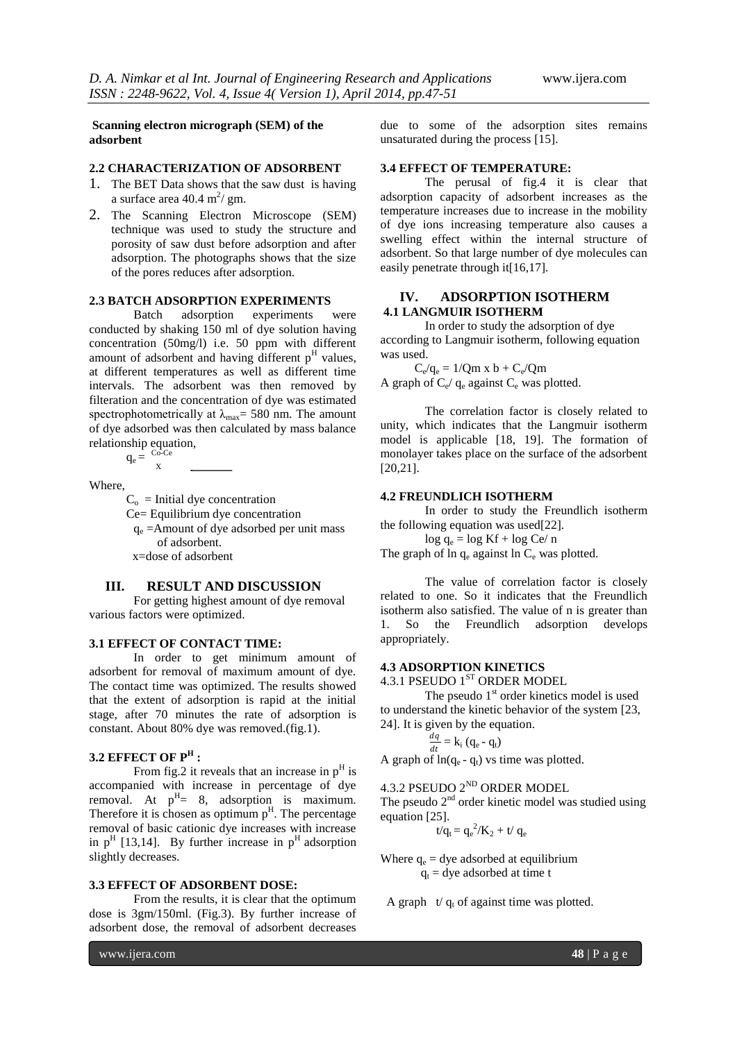## **Scanning electron micrograph (SEM) of the adsorbent**

#### **2.2 CHARACTERIZATION OF ADSORBENT**

- 1. The BET Data shows that the saw dust is having a surface area  $40.4 \text{ m}^2/\text{ gm}$ .
- 2. The Scanning Electron Microscope (SEM) technique was used to study the structure and porosity of saw dust before adsorption and after adsorption. The photographs shows that the size of the pores reduces after adsorption.

## **2.3 BATCH ADSORPTION EXPERIMENTS**

Batch adsorption experiments were conducted by shaking 150 ml of dye solution having concentration (50mg/l) i.e. 50 ppm with different amount of adsorbent and having different  $p<sup>H</sup>$  values, at different temperatures as well as different time intervals. The adsorbent was then removed by filteration and the concentration of dye was estimated spectrophotometrically at  $\lambda_{\text{max}}$  = 580 nm. The amount of dye adsorbed was then calculated by mass balance relationship equation,

$$
q_e = \frac{C_0 - C e}{X}
$$

Where,

 $C<sub>o</sub>$  = Initial dye concentration

Ce= Equilibrium dye concentration

 $q_e$  =Amount of dye adsorbed per unit mass of adsorbent. x=dose of adsorbent

## **III. RESULT AND DISCUSSION**

For getting highest amount of dye removal various factors were optimized.

#### **3.1 EFFECT OF CONTACT TIME:**

In order to get minimum amount of adsorbent for removal of maximum amount of dye. The contact time was optimized. The results showed that the extent of adsorption is rapid at the initial stage, after 70 minutes the rate of adsorption is constant. About 80% dye was removed.(fig.1).

## **3.2 EFFECT OF P<sup>H</sup> :**

From fig.2 it reveals that an increase in  $p<sup>H</sup>$  is accompanied with increase in percentage of dye removal. At  $p^H$  = 8, adsorption is maximum. Therefore it is chosen as optimum  $p<sup>H</sup>$ . The percentage removal of basic cationic dye increases with increase in  $p<sup>H</sup>$  [13,14]. By further increase in  $p<sup>H</sup>$  adsorption slightly decreases.

#### **3.3 EFFECT OF ADSORBENT DOSE:**

From the results, it is clear that the optimum dose is 3gm/150ml. (Fig.3). By further increase of adsorbent dose, the removal of adsorbent decreases

due to some of the adsorption sites remains unsaturated during the process [15].

#### **3.4 EFFECT OF TEMPERATURE:**

The perusal of fig.4 it is clear that adsorption capacity of adsorbent increases as the temperature increases due to increase in the mobility of dye ions increasing temperature also causes a swelling effect within the internal structure of adsorbent. So that large number of dye molecules can easily penetrate through it[16,17].

## **IV. ADSORPTION ISOTHERM 4.1 LANGMUIR ISOTHERM**

In order to study the adsorption of dye according to Langmuir isotherm, following equation was used.

 $C_e/q_e = 1/Qm$  x b +  $C_e/Qm$ A graph of  $C_e$   $q_e$  against  $C_e$  was plotted.

The correlation factor is closely related to unity, which indicates that the Langmuir isotherm model is applicable [18, 19]. The formation of monolayer takes place on the surface of the adsorbent [20,21].

#### **4.2 FREUNDLICH ISOTHERM**

In order to study the Freundlich isotherm the following equation was used[22].

 $log q_e = log Kf + log Ce/n$ 

The graph of ln qe against ln Ce was plotted.

The value of correlation factor is closely related to one. So it indicates that the Freundlich isotherm also satisfied. The value of n is greater than 1. So the Freundlich adsorption develops appropriately.

## **4.3 ADSORPTION KINETICS**

4.3.1 PSEUDO 1<sup>ST</sup> ORDER MODEL

The pseudo  $1<sup>st</sup>$  order kinetics model is used to understand the kinetic behavior of the system [23, 24]. It is given by the equation.

$$
\frac{dq}{dt} = k_i (q_e - q_t)
$$

A graph of  $ln(q_e - q_t)$  vs time was plotted.

4.3.2 PSEUDO 2ND ORDER MODEL

The pseudo  $2<sup>nd</sup>$  order kinetic model was studied using equation [25].

$$
t/q_t = q_e^2/K_2 + t/q_e
$$

Where  $q_e =$  dye adsorbed at equilibrium  $q_t$  = dye adsorbed at time t

A graph  $t/q_t$  of against time was plotted.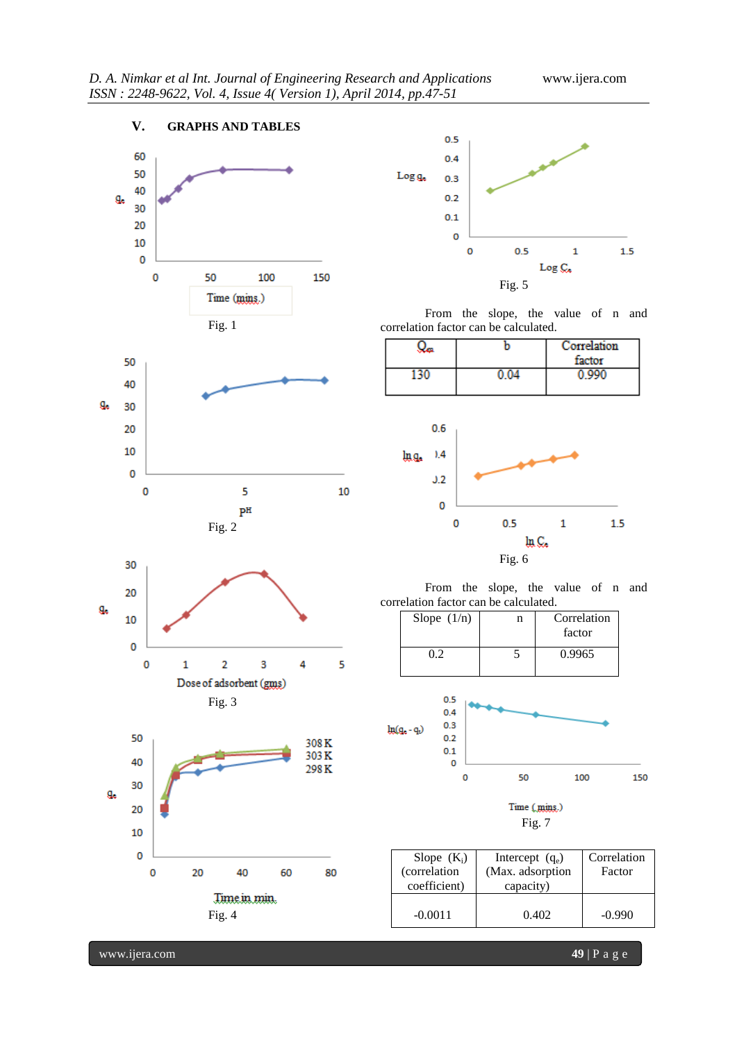



From the slope, the value of n and correlation factor can be calculated.

|  | Correlation<br>factor |
|--|-----------------------|
|  |                       |



From the slope, the value of n and correlation factor can be calculated.



| Slope $(K_i)$<br>(correlation<br>coefficient) | Intercept $(q_e)$<br>(Max. adsorption<br>capacity) | Correlation<br>Factor |
|-----------------------------------------------|----------------------------------------------------|-----------------------|
| $-0.0011$                                     | 0.402                                              | $-0.990$              |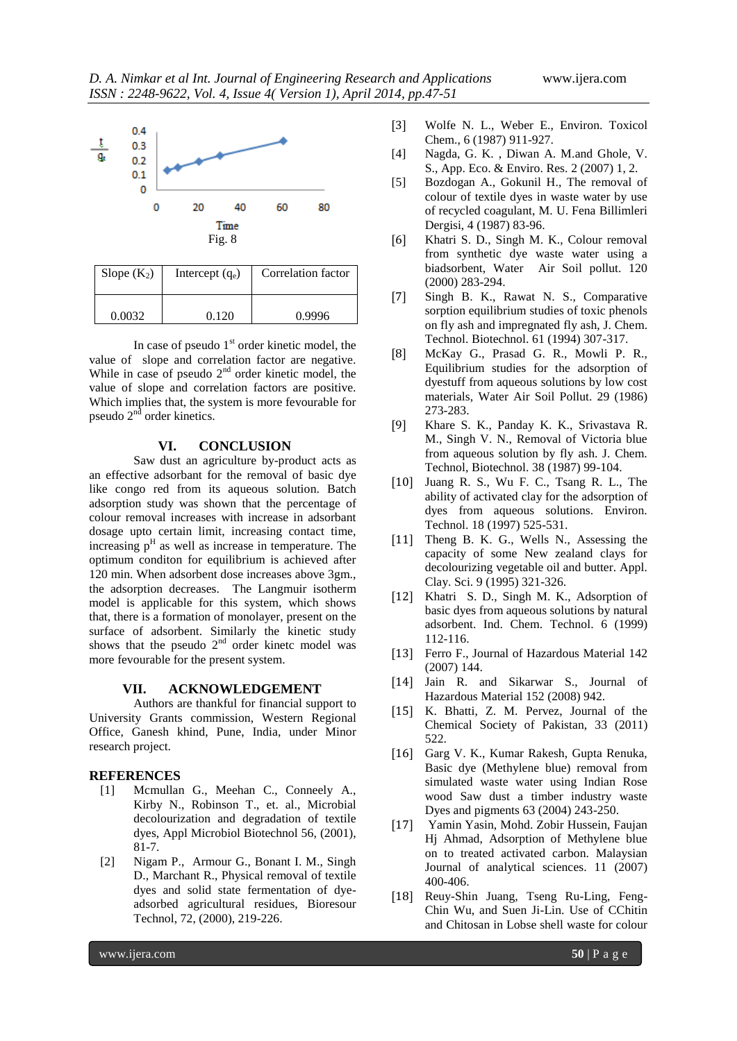

| Slope $(K_2)$ | Intercept $(q_e)$ | Correlation factor |
|---------------|-------------------|--------------------|
| 0.0032        | 0.120             | 0.9996             |

In case of pseudo  $1<sup>st</sup>$  order kinetic model, the value of slope and correlation factor are negative. While in case of pseudo  $2<sup>nd</sup>$  order kinetic model, the value of slope and correlation factors are positive. Which implies that, the system is more fevourable for pseudo  $2<sup>nd</sup>$  order kinetics.

#### **VI. CONCLUSION**

Saw dust an agriculture by-product acts as an effective adsorbant for the removal of basic dye like congo red from its aqueous solution. Batch adsorption study was shown that the percentage of colour removal increases with increase in adsorbant dosage upto certain limit, increasing contact time, increasing  $p<sup>H</sup>$  as well as increase in temperature. The optimum conditon for equilibrium is achieved after 120 min. When adsorbent dose increases above 3gm., the adsorption decreases. The Langmuir isotherm model is applicable for this system, which shows that, there is a formation of monolayer, present on the surface of adsorbent. Similarly the kinetic study shows that the pseudo  $2<sup>nd</sup>$  order kinetc model was more fevourable for the present system.

## **VII. ACKNOWLEDGEMENT**

Authors are thankful for financial support to University Grants commission, Western Regional Office, Ganesh khind, Pune, India, under Minor research project.

### **REFERENCES**

- [1] Mcmullan G., Meehan C., Conneely A., Kirby N., Robinson T., et. al., Microbial decolourization and degradation of textile dyes, Appl Microbiol Biotechnol 56, (2001), 81-7.
- [2] Nigam P., Armour G., Bonant I. M., Singh D., Marchant R., Physical removal of textile dyes and solid state fermentation of dyeadsorbed agricultural residues, Bioresour Technol, 72, (2000), 219-226.
- [3] Wolfe N. L., Weber E., Environ. Toxicol Chem., 6 (1987) 911-927.
- [4] Nagda, G. K. , Diwan A. M.and Ghole, V. S., App. Eco. & Enviro. Res. 2 (2007) 1, 2.
- [5] Bozdogan A., Gokunil H., The removal of colour of textile dyes in waste water by use of recycled coagulant, M. U. Fena Billimleri Dergisi, 4 (1987) 83-96.
- [6] Khatri S. D., Singh M. K., Colour removal from synthetic dye waste water using a biadsorbent, Water Air Soil pollut. 120 (2000) 283-294.
- [7] Singh B. K., Rawat N. S., Comparative sorption equilibrium studies of toxic phenols on fly ash and impregnated fly ash, J. Chem. Technol. Biotechnol. 61 (1994) 307-317.
- [8] McKay G., Prasad G. R., Mowli P. R., Equilibrium studies for the adsorption of dyestuff from aqueous solutions by low cost materials, Water Air Soil Pollut. 29 (1986) 273-283.
- [9] Khare S. K., Panday K. K., Srivastava R. M., Singh V. N., Removal of Victoria blue from aqueous solution by fly ash. J. Chem. Technol, Biotechnol. 38 (1987) 99-104.
- [10] Juang R. S., Wu F. C., Tsang R. L., The ability of activated clay for the adsorption of dyes from aqueous solutions. Environ. Technol. 18 (1997) 525-531.
- [11] Theng B. K. G., Wells N., Assessing the capacity of some New zealand clays for decolourizing vegetable oil and butter. Appl. Clay. Sci. 9 (1995) 321-326.
- [12] Khatri S. D., Singh M. K., Adsorption of basic dyes from aqueous solutions by natural adsorbent. Ind. Chem. Technol. 6 (1999) 112-116.
- [13] Ferro F., Journal of Hazardous Material 142 (2007) 144.
- [14] Jain R. and Sikarwar S., Journal of Hazardous Material 152 (2008) 942.
- [15] K. Bhatti, Z. M. Pervez, Journal of the Chemical Society of Pakistan, 33 (2011) 522.
- [16] Garg V. K., Kumar Rakesh, Gupta Renuka, Basic dye (Methylene blue) removal from simulated waste water using Indian Rose wood Saw dust a timber industry waste Dyes and pigments 63 (2004) 243-250.
- [17] Yamin Yasin, Mohd. Zobir Hussein, Faujan Hj Ahmad, Adsorption of Methylene blue on to treated activated carbon. Malaysian Journal of analytical sciences. 11 (2007) 400-406.
- [18] Reuy-Shin Juang, Tseng Ru-Ling, Feng-Chin Wu, and Suen Ji-Lin. Use of CChitin and Chitosan in Lobse shell waste for colour